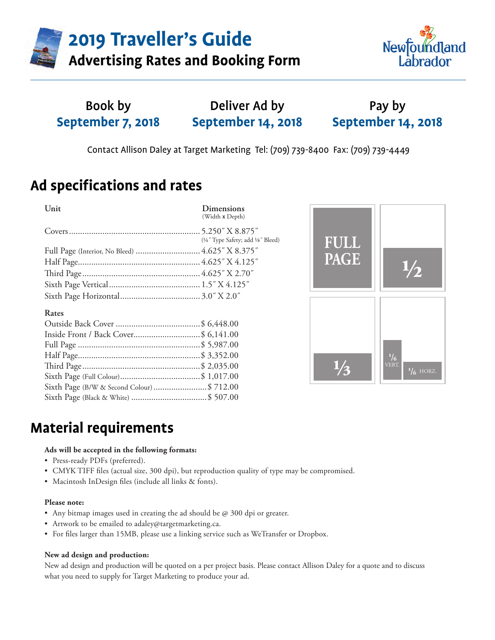**2019 Traveller's Guide**



### **Advertising Rates and Booking Form**

#### Book by **September 7, 2018** Pay by **September 14, 2018** Deliver Ad by **September 14, 2018**

Contact Allison Daley at Target Marketing Tel: (709) 739-8400 Fax: (709) 739-4449

## **Ad specifications and rates**

| <b>Unit</b>                                     | <b>Dimensions</b><br>(Width x Depth) |
|-------------------------------------------------|--------------------------------------|
|                                                 |                                      |
|                                                 | (1/4" Type Safety; add 1/8" Bleed)   |
| Full Page (Interior, No Bleed)  4.625" X 8.375" |                                      |
|                                                 |                                      |
|                                                 |                                      |
|                                                 |                                      |
|                                                 |                                      |

### **Rates**

| Inside Front / Back Cover\$ 6,141.00       |  |
|--------------------------------------------|--|
|                                            |  |
|                                            |  |
|                                            |  |
|                                            |  |
| Sixth Page (B/W & Second Colour) \$ 712.00 |  |
|                                            |  |



## **Material requirements**

#### **Ads will be accepted in the following formats:**

- Press-ready PDFs (preferred).
- CMYK TIFF files (actual size, 300 dpi), but reproduction quality of type may be compromised.
- Macintosh InDesign files (include all links & fonts).

#### **Please note:**

- Any bitmap images used in creating the ad should be  $@$  300 dpi or greater.
- Artwork to be emailed to adaley@targetmarketing.ca.
- For files larger than 15MB, please use a linking service such as WeTransfer or Dropbox.

### **New ad design and production:**

New ad design and production will be quoted on a per project basis. Please contact Allison Daley for a quote and to discuss what you need to supply for Target Marketing to produce your ad.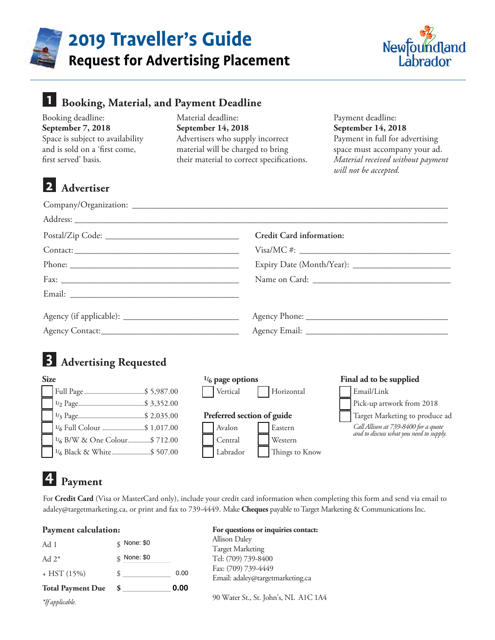

# **2019 Traveller's Guide**

**Request for Advertising Placement**



| <b>Booking, Material, and Payment Deadline</b>                                                                                                    |                                                                                                                                                                |                            |                                                                                                                                                                           |  |
|---------------------------------------------------------------------------------------------------------------------------------------------------|----------------------------------------------------------------------------------------------------------------------------------------------------------------|----------------------------|---------------------------------------------------------------------------------------------------------------------------------------------------------------------------|--|
| Booking deadline:<br>September 7, 2018<br>Space is subject to availability<br>and is sold on a 'first come,<br>first served' basis.<br>Advertiser | Material deadline:<br>September 14, 2018<br>Advertisers who supply incorrect<br>material will be charged to bring<br>their material to correct specifications. |                            | Payment deadline:<br>September 14, 2018<br>Payment in full for advertising<br>space must accompany your ad.<br>Material received without payment<br>will not be accepted. |  |
|                                                                                                                                                   |                                                                                                                                                                |                            |                                                                                                                                                                           |  |
|                                                                                                                                                   |                                                                                                                                                                |                            |                                                                                                                                                                           |  |
|                                                                                                                                                   |                                                                                                                                                                | Credit Card information:   |                                                                                                                                                                           |  |
|                                                                                                                                                   |                                                                                                                                                                |                            |                                                                                                                                                                           |  |
|                                                                                                                                                   |                                                                                                                                                                |                            |                                                                                                                                                                           |  |
|                                                                                                                                                   |                                                                                                                                                                |                            |                                                                                                                                                                           |  |
|                                                                                                                                                   |                                                                                                                                                                |                            |                                                                                                                                                                           |  |
|                                                                                                                                                   |                                                                                                                                                                |                            |                                                                                                                                                                           |  |
|                                                                                                                                                   |                                                                                                                                                                |                            |                                                                                                                                                                           |  |
| <b>Advertising Requested</b>                                                                                                                      |                                                                                                                                                                |                            |                                                                                                                                                                           |  |
| <b>Size</b>                                                                                                                                       | $1/6$ page options                                                                                                                                             |                            | Final ad to be supplied                                                                                                                                                   |  |
| Full Page\$ 5,987.00                                                                                                                              | Vertical                                                                                                                                                       | Horizontal                 | Email/Link                                                                                                                                                                |  |
| $\frac{1}{3}$ Page\$ 2,035.00                                                                                                                     |                                                                                                                                                                | Preferred section of guide | Pick-up artwork from 2018<br>Target Marketing to produce ad                                                                                                               |  |
| <sup>1</sup> / <sub>6</sub> Full Colour \$ 1,017.00                                                                                               | Avalon                                                                                                                                                         | Eastern                    | Call Allison at 739-8400 for a quote                                                                                                                                      |  |
| <sup>1</sup> / <sub>6</sub> B/W & One Colour\$ 712.00                                                                                             | Central                                                                                                                                                        | Western                    | and to discuss what you need to supply.                                                                                                                                   |  |
| <sup>1</sup> / <sub>6</sub> Black & White \$ 507.00                                                                                               | Labrador                                                                                                                                                       | Things to Know             |                                                                                                                                                                           |  |

## **4 Payment**

For **Credit Card** (Visa or MasterCard only), include your credit card information when completing this form and send via email to adaley@targetmarketing.ca, or print and fax to 739-4449. Make **Cheques** payable to Target Marketing & Communications Inc.

#### **Payment calculation:**

| Ad 1                     | $\&$ None: \$0 |                     | <b>Allison Daley</b>                 |  |
|--------------------------|----------------|---------------------|--------------------------------------|--|
|                          |                |                     | <b>Target Marketing</b>              |  |
| Ad $2^*$                 | None: \$0<br>¢ |                     | Tel: (709) 739-8400                  |  |
| $+$ HST (15%)            | 0.00           | Fax: (709) 739-4449 |                                      |  |
|                          |                |                     | Email: adaley@targetmarketing.ca     |  |
| <b>Total Payment Due</b> |                | 0.00                |                                      |  |
| *If applicable.          |                |                     | 90 Water St., St. John's, NL A1C 1A4 |  |

#### **For questions or inquiries contact:**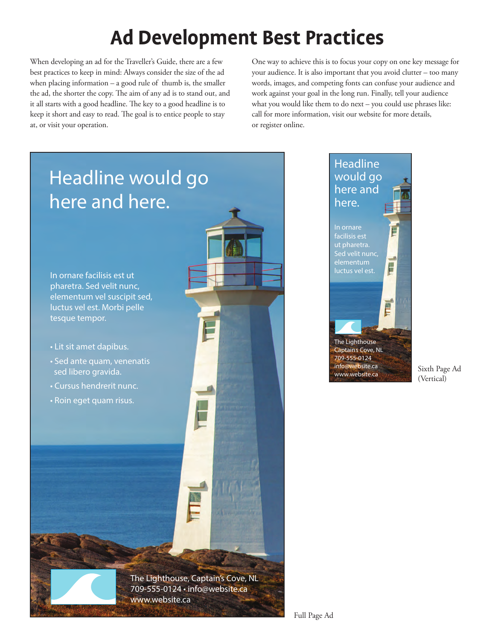## **Ad Development Best Practices**

When developing an ad for the Traveller's Guide, there are a few best practices to keep in mind: Always consider the size of the ad when placing information – a good rule of thumb is, the smaller the ad, the shorter the copy. The aim of any ad is to stand out, and it all starts with a good headline. The key to a good headline is to keep it short and easy to read. The goal is to entice people to stay at, or visit your operation.

One way to achieve this is to focus your copy on one key message for your audience. It is also important that you avoid clutter – too many words, images, and competing fonts can confuse your audience and work against your goal in the long run. Finally, tell your audience what you would like them to do next – you could use phrases like: call for more information, visit our website for more details, or register online.

E

E



Sixth Page Ad (Vertical)